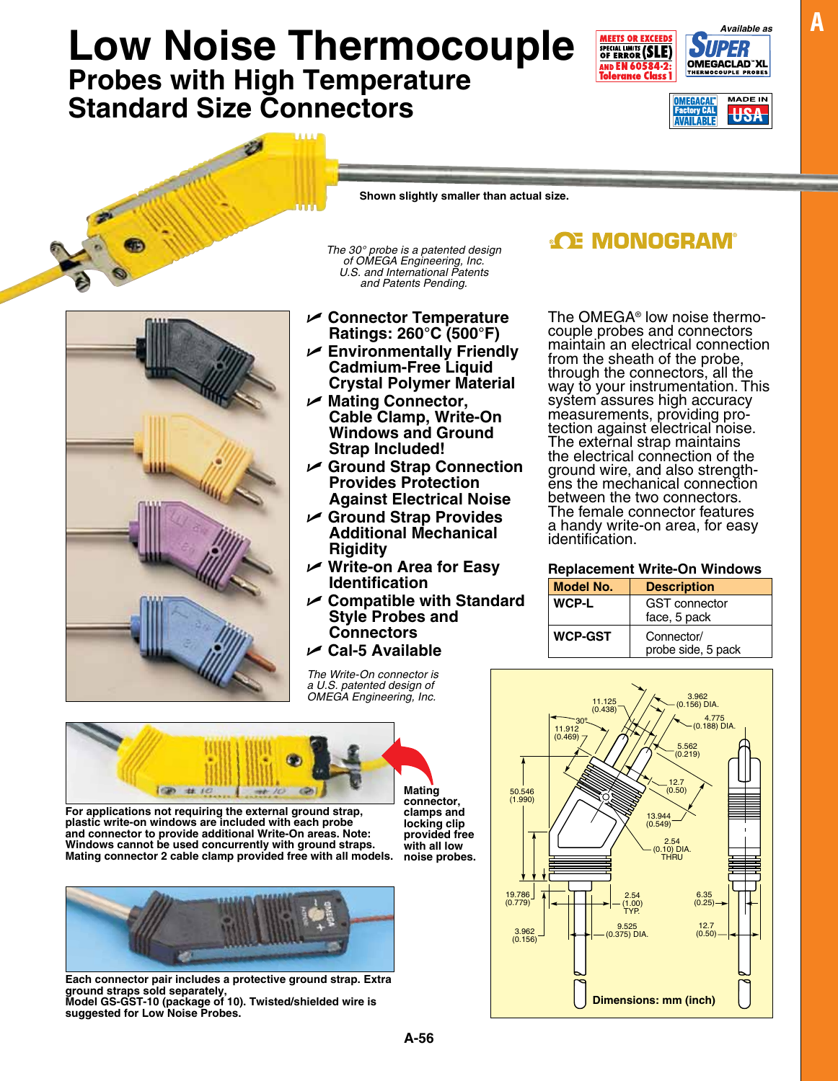**A-56**

## Low Noise Thermocouple **FILED AVALUATE AVAILABLE AVAILABLE AVAILABLE AVALUATE POINT AVAILABLE POINT AVAILABLE POINT AVAILABLE POINT AVAILABLE POINT AVAILABLE POINT AVAILABLE POINT AVAILABLE POINT AVAILABLE POINT AVAILABLE Probes with High Temperature Standard Size Connectors**

The OMEGA® low noise thermo- couple probes and connectors maintain an electrical connection from the sheath of the probe, through the connectors, all the way to your instrumentation. This system assures high accuracy measurements, providing pro-<br>tection against electrical noise. The external strap maintains the electrical connection of the<br>ground wire, and also strengthens the mechanical connection between the two connectors. The female connector features a handy write-on area, for easy identification.

## **Replacement Write-On Windows**

| <b>Model No.</b> | <b>Description</b>                   |  |  |  |
|------------------|--------------------------------------|--|--|--|
| <b>WCP-L</b>     | <b>GST</b> connector<br>face, 5 pack |  |  |  |
| <b>WCP-GST</b>   | Connector/<br>probe side, 5 pack     |  |  |  |

4.775

6.35

12.7

**Dimensions: mm (inch)**



**Ratings: 260°C (500°F)**

*of OMEGA Engineering, Inc. U.S. and International Patents and Patents Pending.*

**Cadmium-Free Liquid Crystal Polymer Material**

**Cable Clamp, Write-On Windows and Ground** 

U **Mating Connector,** 

**Strap Included!**

**Rigidity**

**Identification**

**Style Probes and Connectors** U **Cal-5 Available** 

**Provides Protection Against Electrical Noise** U **Ground Strap Provides Additional Mechanical** 

U **Compatible with Standard** 





**Each connector pair includes a protective ground strap. Extra ground straps sold separately, Model GS-GST-10 (package of 10). Twisted/shielded wire is suggested for Low Noise Probes.**







**ACE MONOGRAM®** 

30º 11.125 (0.438) 11.912 (0.469) 3.962 (0.156) DIA. (0.188) DIA. 5.562 (0.219) 12.7 (0.50) 13.944 (0.549) 2.54 (0.10) DIA. THRU 19.786 (0.779) 3.962  $(0.156)$ 2.54 (1.00) TYP. 9.525 (0.375) DIA.  $(0.25)$ (0.50) **locking clip provided free with all low noise probes.**

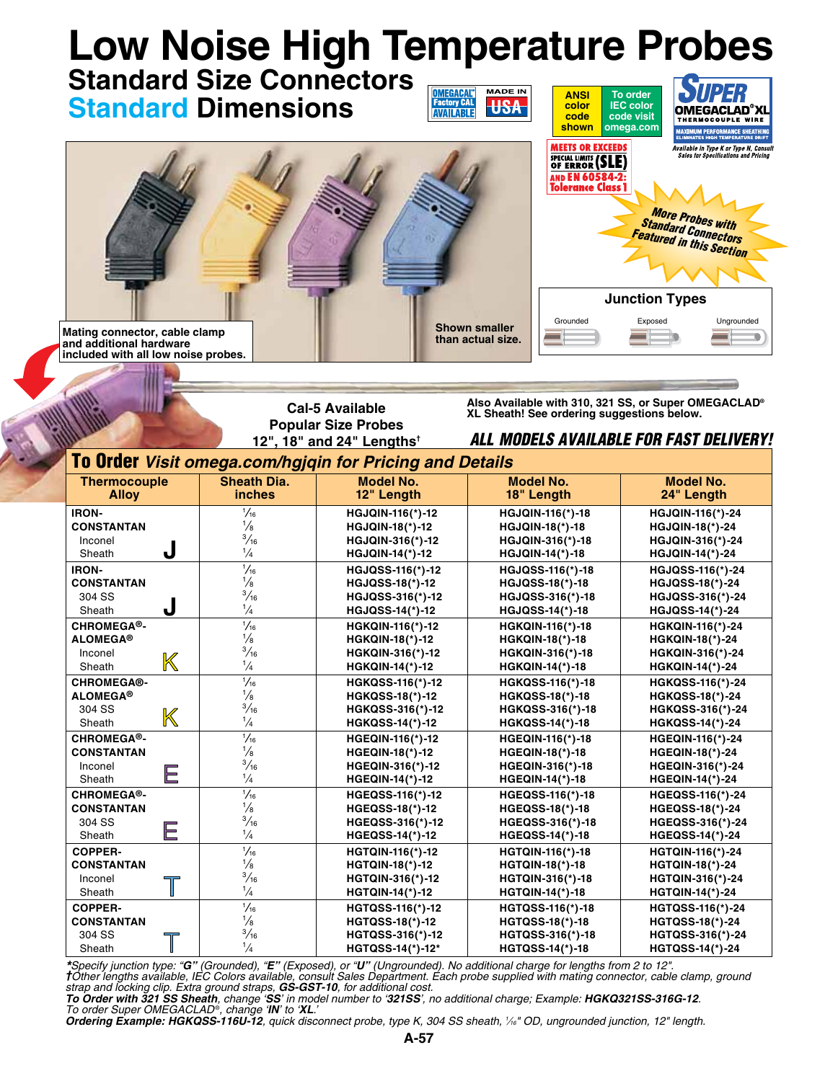| <b>Low Noise High Temperature Probes</b><br><b>Standard Size Connectors</b> |                                                                                                                                                            |                                                                                                                                             |                                                                                                                    |                                                                                                                                                     |                                                                                                                                                                                         |                                                                                                                                                     |                                                                                                                            |  |  |  |
|-----------------------------------------------------------------------------|------------------------------------------------------------------------------------------------------------------------------------------------------------|---------------------------------------------------------------------------------------------------------------------------------------------|--------------------------------------------------------------------------------------------------------------------|-----------------------------------------------------------------------------------------------------------------------------------------------------|-----------------------------------------------------------------------------------------------------------------------------------------------------------------------------------------|-----------------------------------------------------------------------------------------------------------------------------------------------------|----------------------------------------------------------------------------------------------------------------------------|--|--|--|
|                                                                             |                                                                                                                                                            | <b>Standard Dimensions</b>                                                                                                                  | <b>OMEGACAL</b> ®<br><b>Factory CAL</b><br><b>AVAILABLE</b>                                                        | <b>MADE IN</b><br><b>USA</b>                                                                                                                        | <b>ANSI</b><br>color<br>code<br>shown                                                                                                                                                   | To order<br><b>IEC</b> color<br>code visit<br>omega.com                                                                                             | OMEGACLAD®XL<br><b>THERMOCOUPLE WIRE</b><br><b>MAXIMUM PERFORMANCE SHEATHING</b><br><b>ELIMINATES HIGH TEMPERATURE DRI</b> |  |  |  |
|                                                                             |                                                                                                                                                            |                                                                                                                                             |                                                                                                                    |                                                                                                                                                     | MEETS OR EXCEEDS<br>Available in Type K or Type N, Consult<br><b>Sales for Specifications and Pricing</b><br>SPECIAL LIMITS (SLE)<br><b>AND EN 60584-2:</b><br><b>Tolerance Class 1</b> |                                                                                                                                                     |                                                                                                                            |  |  |  |
|                                                                             |                                                                                                                                                            |                                                                                                                                             |                                                                                                                    |                                                                                                                                                     | <b>More Probes with</b><br><b>Standard Connectors</b><br><b>Featured in this Section</b>                                                                                                |                                                                                                                                                     |                                                                                                                            |  |  |  |
|                                                                             | Mating connector, cable clamp<br>and additional hardware<br>included with all low noise probes.                                                            |                                                                                                                                             |                                                                                                                    | <b>Junction Types</b><br>Exposed<br>Ungrounded<br>Grounded<br><b>Shown smaller</b><br>than actual size.                                             |                                                                                                                                                                                         |                                                                                                                                                     |                                                                                                                            |  |  |  |
|                                                                             | Also Available with 310, 321 SS, or Super OMEGACLAD®<br><b>Cal-5 Available</b><br>XL Sheath! See ordering suggestions below.<br><b>Popular Size Probes</b> |                                                                                                                                             |                                                                                                                    |                                                                                                                                                     |                                                                                                                                                                                         |                                                                                                                                                     |                                                                                                                            |  |  |  |
|                                                                             |                                                                                                                                                            | ALL MODELS AVAILABLE FOR FAST DELIVERY!<br>12", 18" and 24" Lengths <sup>+</sup><br>To Order Visit omega.com/hgjqin for Pricing and Details |                                                                                                                    |                                                                                                                                                     |                                                                                                                                                                                         |                                                                                                                                                     |                                                                                                                            |  |  |  |
|                                                                             | <b>Thermocouple</b><br><b>Alloy</b>                                                                                                                        | <b>Sheath Dia.</b><br><i>inches</i>                                                                                                         | <b>Model No.</b><br>12" Length                                                                                     | <b>Model No.</b><br>18" Length                                                                                                                      |                                                                                                                                                                                         | <b>Model No.</b><br>24" Length                                                                                                                      |                                                                                                                            |  |  |  |
|                                                                             | <b>IRON-</b><br><b>CONSTANTAN</b><br>Inconel<br>J                                                                                                          | $\frac{1}{16}$<br>$\frac{1}{8}$<br>$\frac{3}{16}$<br>$\frac{1}{4}$                                                                          | HGJQIN-116(*)-12<br><b>HGJQIN-18(*)-12</b><br>HGJQIN-316(*)-12                                                     | HGJQIN-116(*)-18<br><b>HGJQIN-18(*)-18</b><br>HGJQIN-316(*)-18<br><b>HGJQIN-14(*)-18</b><br>HGJQSS-116(*)-18<br>HGJQSS-18(*)-18<br>HGJQSS-316(*)-18 |                                                                                                                                                                                         | HGJQIN-116(*)-24<br><b>HGJQIN-18(*)-24</b><br>HGJQIN-316(*)-24<br><b>HGJQIN-14(*)-24</b><br>HGJQSS-116(*)-24<br>HGJQSS-18(*)-24<br>HGJQSS-316(*)-24 |                                                                                                                            |  |  |  |
|                                                                             | Sheath<br><b>IRON-</b><br><b>CONSTANTAN</b><br>304 SS<br>J                                                                                                 | $\frac{1}{1/16}$<br>$\frac{1}{8}$<br>$\frac{3}{16}$                                                                                         | <b>HGJQIN-14(*)-12</b><br>HGJQSS-116(*)-12<br><b>HGJQSS-18(*)-12</b><br>HGJQSS-316(*)-12                           |                                                                                                                                                     |                                                                                                                                                                                         |                                                                                                                                                     |                                                                                                                            |  |  |  |
|                                                                             | Sheath<br>CHROMEGA®-<br><b>ALOMEGA®</b><br>Inconel<br>$\mathbb K$                                                                                          | $\frac{1}{4}$<br>$\frac{1}{16}$<br>$\frac{1}{8}$<br>$\frac{3}{16}$                                                                          | HGJQSS-14(*)-12<br>HGKQIN-116(*)-12<br><b>HGKQIN-18(*)-12</b><br>HGKQIN-316(*)-12                                  | <b>HGJQSS-14(*)-18</b><br>HGKQIN-116(*)-18<br><b>HGKQIN-18(*)-18</b><br>HGKQIN-316(*)-18                                                            |                                                                                                                                                                                         | HGJQSS-14(*)-24<br>HGKQIN-116(*)-24<br><b>HGKQIN-18(*)-24</b><br>HGKQIN-316(*)-24                                                                   |                                                                                                                            |  |  |  |
|                                                                             | Sheath<br><b>CHROMEGA®-</b><br><b>ALOMEGA®</b><br>304 SS<br>K                                                                                              | $\frac{1}{4}$<br>$\frac{1}{16}$<br>$\frac{1}{8}$<br>$\frac{3}{16}$<br>$\frac{1}{4}$                                                         | <b>HGKQIN-14(*)-12</b><br>HGKQSS-116(*)-12<br><b>HGKQSS-18(*)-12</b><br>HGKQSS-316(*)-12                           | <b>HGKQIN-14(*)-18</b><br><b>HGKQSS-116(*)-18</b><br><b>HGKQSS-18(*)-18</b><br>HGKQSS-316(*)-18                                                     |                                                                                                                                                                                         | <b>HGKQIN-14(*)-24</b><br>HGKQSS-116(*)-24<br><b>HGKQSS-18(*)-24</b><br>HGKQSS-316(*)-24                                                            |                                                                                                                            |  |  |  |
|                                                                             | Sheath<br>CHROMEGA®-<br><b>CONSTANTAN</b><br>Inconel<br>Е<br>Sheath                                                                                        | $\frac{1}{16}$<br>$\frac{1}{8}$<br>$\frac{3}{16}$<br>$\frac{1}{4}$                                                                          | <b>HGKQSS-14(*)-12</b><br>HGEQIN-116(*)-12<br><b>HGEQIN-18(*)-12</b><br>HGEQIN-316(*)-12<br><b>HGEQIN-14(*)-12</b> | <b>HGKQSS-14(*)-18</b><br>HGEQIN-116(*)-18<br><b>HGEQIN-18(*)-18</b><br>HGEQIN-316(*)-18                                                            |                                                                                                                                                                                         | <b>HGKQSS-14(*)-24</b><br>HGEQIN-116(*)-24<br><b>HGEQIN-18(*)-24</b><br><b>HGEQIN-316(*)-24</b>                                                     |                                                                                                                            |  |  |  |
|                                                                             | <b>CHROMEGA®-</b><br><b>CONSTANTAN</b><br>304 SS<br>E<br>Sheath                                                                                            | $\frac{1}{16}$<br>$\frac{1}{8}$<br>$\frac{3}{16}$<br>$\frac{1}{4}$                                                                          | <b>HGEQSS-116(*)-12</b><br><b>HGEQSS-18(*)-12</b><br>$HGEQSS-316(*)-12$<br>$HGEQSS-14(*)-12$                       | <b>HGEQIN-14(*)-18</b><br>HGEQSS-116(*)-18<br><b>HGEQSS-18(*)-18</b><br>HGEQSS-316(*)-18                                                            |                                                                                                                                                                                         | <b>HGEQIN-14(*)-24</b><br><b>HGEQSS-116(*)-24</b><br><b>HGEQSS-18(*)-24</b><br>HGEQSS-316(*)-24<br><b>HGEQSS-14(*)-24</b>                           |                                                                                                                            |  |  |  |
|                                                                             | <b>COPPER-</b><br><b>CONSTANTAN</b><br>Inconel<br>$\mathbb T$<br>Sheath                                                                                    | $\frac{1}{16}$<br>$\frac{1}{8}$<br>$\frac{3}{16}$<br>$\frac{1}{4}$                                                                          | <b>HGTQIN-116(*)-12</b><br><b>HGTQIN-18(*)-12</b><br>HGTQIN-316(*)-12<br><b>HGTQIN-14(*)-12</b>                    | <b>HGEQSS-14(*)-18</b><br><b>HGTQIN-116(*)-18</b><br><b>HGTQIN-18(*)-18</b><br>HGTQIN-316(*)-18                                                     |                                                                                                                                                                                         | <b>HGTQIN-116(*)-24</b><br><b>HGTQIN-18(*)-24</b><br><b>HGTQIN-316(*)-24</b><br><b>HGTQIN-14(*)-24</b>                                              |                                                                                                                            |  |  |  |
|                                                                             | <b>COPPER-</b><br><b>CONSTANTAN</b><br>304 SS<br>Ш<br>Sheath                                                                                               | $\frac{1}{16}$<br>$\frac{1}{8}$<br>$\frac{3}{16}$<br>$\frac{1}{4}$                                                                          | <b>HGTQSS-116(*)-12</b><br><b>HGTQSS-18(*)-12</b><br>HGTQSS-316(*)-12<br>HGTQSS-14(*)-12*                          | <b>HGTQIN-14(*)-18</b><br><b>HGTQSS-116(*)-18</b><br><b>HGTQSS-18(*)-18</b><br>HGTQSS-316(*)-18<br><b>HGTQSS-14(*)-18</b>                           |                                                                                                                                                                                         | <b>HGTQSS-116(*)-24</b><br><b>HGTQSS-18(*)-24</b><br>HGTQSS-316(*)-24<br><b>HGTQSS-14(*)-24</b>                                                     |                                                                                                                            |  |  |  |

\*Specify junction type: "G" (Grounded), "E" (Exposed), or "U" (Ungrounded). No additional charge for lengths from 2 to 12".<br>†Other lengths available, IEC Colors available, consult Sales Department. Each probe supplied with

strap and locking clip. Extra ground straps, **GS-GST-10**, for additional cost.<br>**To Order with 321 SS Sheath**, change 'SS' in model number to '**321SS**', no additional charge; Example: **HGKQ321SS-316G-12**. *To order Super OMEGACLAD* ®*, change 'IN' to 'XL.'*

*Ordering Example: HGKQSS-116U-12, quick disconnect probe, type K, 304 SS sheath, 1 ⁄16" OD, ungrounded junction, 12" length.*